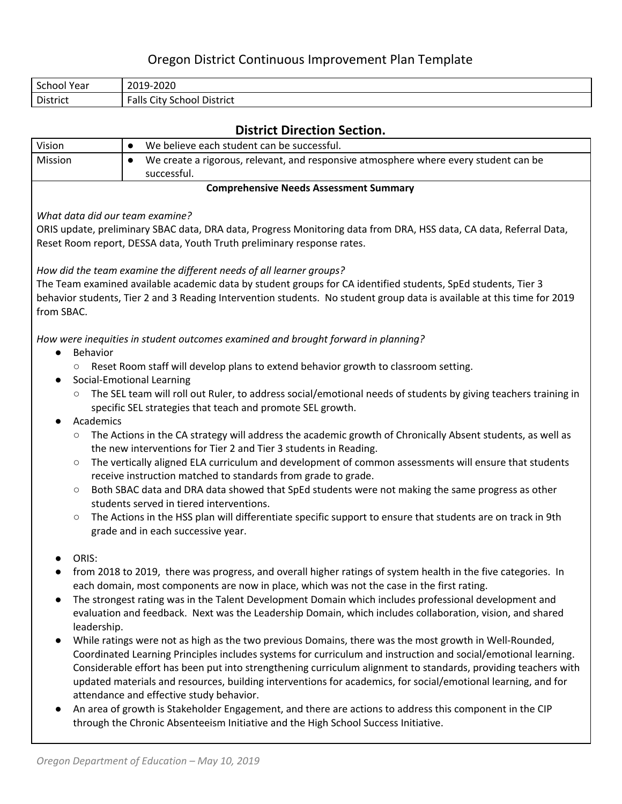# Oregon District Continuous Improvement Plan Template

| School<br>'Year | 2019-2020                                            |
|-----------------|------------------------------------------------------|
| District        | Falls<br>City<br>$\sim$ $\sim$<br>District<br>School |

## **District Direction Section.**

| DISTRICT DIFECTION SECTION.     |                                                                                                                                                                                                             |  |  |  |
|---------------------------------|-------------------------------------------------------------------------------------------------------------------------------------------------------------------------------------------------------------|--|--|--|
| Vision                          | We believe each student can be successful.<br>$\bullet$                                                                                                                                                     |  |  |  |
| Mission                         | We create a rigorous, relevant, and responsive atmosphere where every student can be<br>$\bullet$<br>successful.                                                                                            |  |  |  |
|                                 | <b>Comprehensive Needs Assessment Summary</b>                                                                                                                                                               |  |  |  |
| What data did our team examine? |                                                                                                                                                                                                             |  |  |  |
|                                 | ORIS update, preliminary SBAC data, DRA data, Progress Monitoring data from DRA, HSS data, CA data, Referral Data,                                                                                          |  |  |  |
|                                 | Reset Room report, DESSA data, Youth Truth preliminary response rates.                                                                                                                                      |  |  |  |
|                                 | How did the team examine the different needs of all learner groups?                                                                                                                                         |  |  |  |
|                                 | The Team examined available academic data by student groups for CA identified students, SpEd students, Tier 3                                                                                               |  |  |  |
| from SBAC.                      | behavior students, Tier 2 and 3 Reading Intervention students. No student group data is available at this time for 2019                                                                                     |  |  |  |
| Behavior<br>$\bullet$           | How were inequities in student outcomes examined and brought forward in planning?                                                                                                                           |  |  |  |
|                                 | Reset Room staff will develop plans to extend behavior growth to classroom setting.                                                                                                                         |  |  |  |
|                                 | Social-Emotional Learning                                                                                                                                                                                   |  |  |  |
| $\circlearrowright$             | The SEL team will roll out Ruler, to address social/emotional needs of students by giving teachers training in<br>specific SEL strategies that teach and promote SEL growth.                                |  |  |  |
| Academics                       |                                                                                                                                                                                                             |  |  |  |
| O                               | The Actions in the CA strategy will address the academic growth of Chronically Absent students, as well as<br>the new interventions for Tier 2 and Tier 3 students in Reading.                              |  |  |  |
| $\circ$                         | The vertically aligned ELA curriculum and development of common assessments will ensure that students<br>receive instruction matched to standards from grade to grade.                                      |  |  |  |
| $\circ$                         | Both SBAC data and DRA data showed that SpEd students were not making the same progress as other<br>students served in tiered interventions.                                                                |  |  |  |
| $\bigcirc$                      | The Actions in the HSS plan will differentiate specific support to ensure that students are on track in 9th<br>grade and in each successive year.                                                           |  |  |  |
| ORIS:                           |                                                                                                                                                                                                             |  |  |  |
|                                 | from 2018 to 2019, there was progress, and overall higher ratings of system health in the five categories. In<br>each domain, most components are now in place, which was not the case in the first rating. |  |  |  |
|                                 | The strongest rating was in the Talent Development Domain which includes professional development and                                                                                                       |  |  |  |
| leadership.                     | evaluation and feedback. Next was the Leadership Domain, which includes collaboration, vision, and shared                                                                                                   |  |  |  |
|                                 | While ratings were not as high as the two previous Domains, there was the most growth in Well-Rounded,                                                                                                      |  |  |  |
|                                 | Coordinated Learning Principles includes systems for curriculum and instruction and social/emotional learning.                                                                                              |  |  |  |
|                                 | Considerable effort has been put into strengthening curriculum alignment to standards, providing teachers with                                                                                              |  |  |  |
|                                 | updated materials and resources, building interventions for academics, for social/emotional learning, and for                                                                                               |  |  |  |
|                                 | attendance and effective study behavior.                                                                                                                                                                    |  |  |  |
|                                 | An area of growth is Stakeholder Engagement, and there are actions to address this component in the CIP<br>through the Chronic Absenteeism Initiative and the High School Success Initiative.               |  |  |  |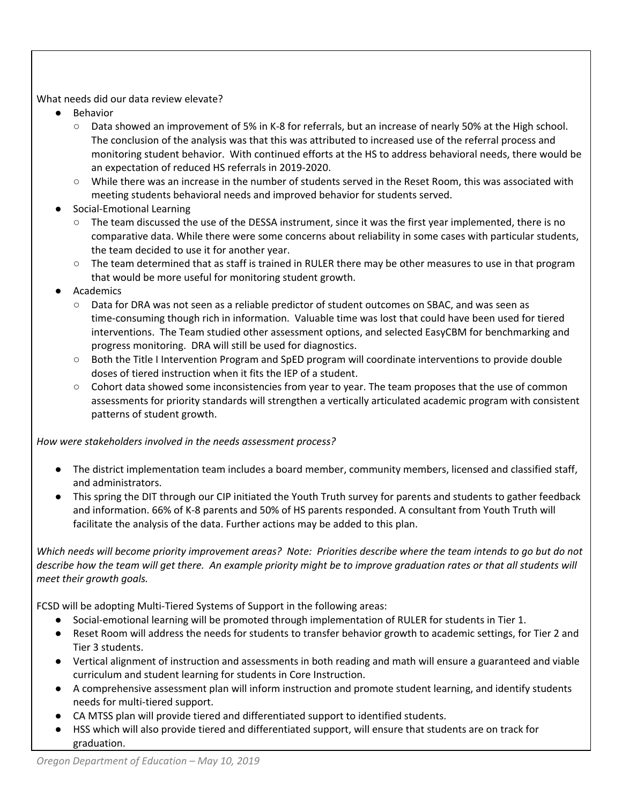#### What needs did our data review elevate?

- **Behavior** 
	- Data showed an improvement of 5% in K-8 for referrals, but an increase of nearly 50% at the High school. The conclusion of the analysis was that this was attributed to increased use of the referral process and monitoring student behavior. With continued efforts at the HS to address behavioral needs, there would be an expectation of reduced HS referrals in 2019-2020.
	- While there was an increase in the number of students served in the Reset Room, this was associated with meeting students behavioral needs and improved behavior for students served.
- Social-Emotional Learning
	- The team discussed the use of the DESSA instrument, since it was the first year implemented, there is no comparative data. While there were some concerns about reliability in some cases with particular students, the team decided to use it for another year.
	- The team determined that as staff is trained in RULER there may be other measures to use in that program that would be more useful for monitoring student growth.
- Academics
	- Data for DRA was not seen as a reliable predictor of student outcomes on SBAC, and was seen as time-consuming though rich in information. Valuable time was lost that could have been used for tiered interventions. The Team studied other assessment options, and selected EasyCBM for benchmarking and progress monitoring. DRA will still be used for diagnostics.
	- Both the Title I Intervention Program and SpED program will coordinate interventions to provide double doses of tiered instruction when it fits the IEP of a student.
	- Cohort data showed some inconsistencies from year to year. The team proposes that the use of common assessments for priority standards will strengthen a vertically articulated academic program with consistent patterns of student growth.

*How were stakeholders involved in the needs assessment process?*

- The district implementation team includes a board member, community members, licensed and classified staff, and administrators.
- This spring the DIT through our CIP initiated the Youth Truth survey for parents and students to gather feedback and information. 66% of K-8 parents and 50% of HS parents responded. A consultant from Youth Truth will facilitate the analysis of the data. Further actions may be added to this plan.

Which needs will become priority improvement areas? Note: Priorities describe where the team intends to go but do not describe how the team will get there. An example priority might be to improve graduation rates or that all students will *meet their growth goals.*

FCSD will be adopting Multi-Tiered Systems of Support in the following areas:

- Social-emotional learning will be promoted through implementation of RULER for students in Tier 1.
- Reset Room will address the needs for students to transfer behavior growth to academic settings, for Tier 2 and Tier 3 students.
- Vertical alignment of instruction and assessments in both reading and math will ensure a guaranteed and viable curriculum and student learning for students in Core Instruction.
- A comprehensive assessment plan will inform instruction and promote student learning, and identify students needs for multi-tiered support.
- CA MTSS plan will provide tiered and differentiated support to identified students.
- HSS which will also provide tiered and differentiated support, will ensure that students are on track for graduation.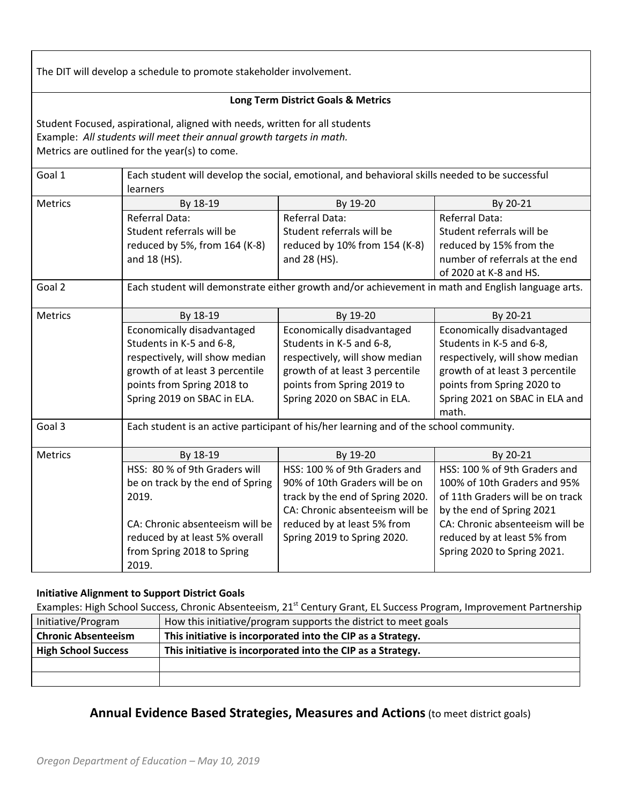The DIT will develop a schedule to promote stakeholder involvement.

#### **Long Term District Goals & Metrics**

Student Focused, aspirational, aligned with needs, written for all students Example: *All students will meet their annual growth targets in math.* Metrics are outlined for the year(s) to come.

| Goal 1         | Each student will develop the social, emotional, and behavioral skills needed to be successful |                                                                                                   |                                  |  |  |
|----------------|------------------------------------------------------------------------------------------------|---------------------------------------------------------------------------------------------------|----------------------------------|--|--|
|                | learners                                                                                       |                                                                                                   |                                  |  |  |
| <b>Metrics</b> | By 18-19                                                                                       | By 19-20                                                                                          | By 20-21                         |  |  |
|                | <b>Referral Data:</b>                                                                          | Referral Data:                                                                                    | Referral Data:                   |  |  |
|                | Student referrals will be                                                                      | Student referrals will be                                                                         | Student referrals will be        |  |  |
|                | reduced by 5%, from 164 (K-8)                                                                  | reduced by 10% from 154 (K-8)                                                                     | reduced by 15% from the          |  |  |
|                | and 18 (HS).                                                                                   | and 28 (HS).                                                                                      | number of referrals at the end   |  |  |
|                |                                                                                                |                                                                                                   | of 2020 at K-8 and HS.           |  |  |
| Goal 2         |                                                                                                | Each student will demonstrate either growth and/or achievement in math and English language arts. |                                  |  |  |
| Metrics        | By 18-19                                                                                       | By 19-20                                                                                          | By 20-21                         |  |  |
|                | Economically disadvantaged                                                                     | Economically disadvantaged                                                                        | Economically disadvantaged       |  |  |
|                | Students in K-5 and 6-8,                                                                       | Students in K-5 and 6-8,                                                                          | Students in K-5 and 6-8,         |  |  |
|                | respectively, will show median                                                                 | respectively, will show median                                                                    | respectively, will show median   |  |  |
|                | growth of at least 3 percentile                                                                | growth of at least 3 percentile                                                                   | growth of at least 3 percentile  |  |  |
|                | points from Spring 2018 to                                                                     | points from Spring 2019 to                                                                        | points from Spring 2020 to       |  |  |
|                | Spring 2019 on SBAC in ELA.                                                                    | Spring 2020 on SBAC in ELA.                                                                       | Spring 2021 on SBAC in ELA and   |  |  |
|                |                                                                                                |                                                                                                   | math.                            |  |  |
| Goal 3         |                                                                                                | Each student is an active participant of his/her learning and of the school community.            |                                  |  |  |
| Metrics        | By 18-19                                                                                       | By 19-20                                                                                          | By 20-21                         |  |  |
|                | HSS: 80 % of 9th Graders will                                                                  | HSS: 100 % of 9th Graders and                                                                     | HSS: 100 % of 9th Graders and    |  |  |
|                | be on track by the end of Spring                                                               | 90% of 10th Graders will be on                                                                    | 100% of 10th Graders and 95%     |  |  |
|                | 2019.                                                                                          | track by the end of Spring 2020.                                                                  | of 11th Graders will be on track |  |  |
|                |                                                                                                | CA: Chronic absenteeism will be                                                                   | by the end of Spring 2021        |  |  |
|                | CA: Chronic absenteeism will be                                                                | reduced by at least 5% from                                                                       | CA: Chronic absenteeism will be  |  |  |
|                | reduced by at least 5% overall                                                                 | Spring 2019 to Spring 2020.                                                                       | reduced by at least 5% from      |  |  |
|                | from Spring 2018 to Spring                                                                     |                                                                                                   | Spring 2020 to Spring 2021.      |  |  |
|                | 2019.                                                                                          |                                                                                                   |                                  |  |  |

#### **Initiative Alignment to Support District Goals**

Examples: High School Success, Chronic Absenteeism, 21<sup>st</sup> Century Grant, EL Success Program, Improvement Partnership

| Initiative/Program         | How this initiative/program supports the district to meet goals |
|----------------------------|-----------------------------------------------------------------|
| <b>Chronic Absenteeism</b> | This initiative is incorporated into the CIP as a Strategy.     |
| <b>High School Success</b> | This initiative is incorporated into the CIP as a Strategy.     |
|                            |                                                                 |
|                            |                                                                 |

### **Annual Evidence Based Strategies, Measures and Actions**(to meet district goals)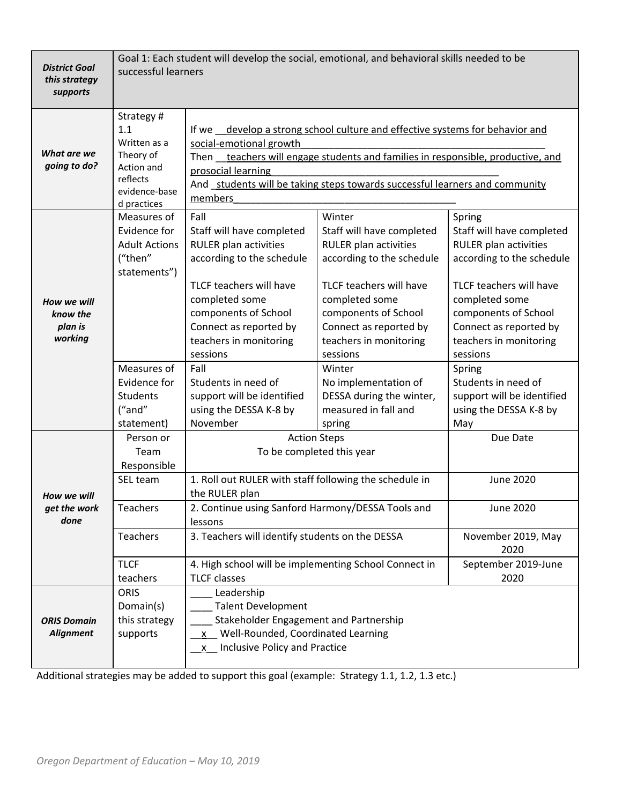| <b>District Goal</b><br>this strategy<br>supports | Goal 1: Each student will develop the social, emotional, and behavioral skills needed to be<br>successful learners |                                                                                                                                                                                                                                                                    |                                                                                                                                                                                                                                                                         |                                                                                                                                                                                                                                                                        |  |
|---------------------------------------------------|--------------------------------------------------------------------------------------------------------------------|--------------------------------------------------------------------------------------------------------------------------------------------------------------------------------------------------------------------------------------------------------------------|-------------------------------------------------------------------------------------------------------------------------------------------------------------------------------------------------------------------------------------------------------------------------|------------------------------------------------------------------------------------------------------------------------------------------------------------------------------------------------------------------------------------------------------------------------|--|
| What are we                                       | Strategy#<br>1.1<br>Written as a<br>Theory of                                                                      | If we _develop a strong school culture and effective systems for behavior and<br>social-emotional growth<br>Then _teachers will engage students and families in responsible, productive, and                                                                       |                                                                                                                                                                                                                                                                         |                                                                                                                                                                                                                                                                        |  |
| going to do?                                      | Action and<br>reflects<br>evidence-base<br>d practices                                                             | members                                                                                                                                                                                                                                                            | prosocial learning<br>And students will be taking steps towards successful learners and community                                                                                                                                                                       |                                                                                                                                                                                                                                                                        |  |
| How we will<br>know the<br>plan is<br>working     | Measures of<br>Evidence for<br><b>Adult Actions</b><br>("then"<br>statements")<br>Measures of<br>Evidence for      | Fall<br>Staff will have completed<br><b>RULER plan activities</b><br>according to the schedule<br>TLCF teachers will have<br>completed some<br>components of School<br>Connect as reported by<br>teachers in monitoring<br>sessions<br>Fall<br>Students in need of | Winter<br>Staff will have completed<br><b>RULER plan activities</b><br>according to the schedule<br>TLCF teachers will have<br>completed some<br>components of School<br>Connect as reported by<br>teachers in monitoring<br>sessions<br>Winter<br>No implementation of | Spring<br>Staff will have completed<br><b>RULER plan activities</b><br>according to the schedule<br>TLCF teachers will have<br>completed some<br>components of School<br>Connect as reported by<br>teachers in monitoring<br>sessions<br>Spring<br>Students in need of |  |
|                                                   | <b>Students</b><br>("and"<br>statement)                                                                            | support will be identified<br>using the DESSA K-8 by<br>November                                                                                                                                                                                                   | DESSA during the winter,<br>measured in fall and<br>spring                                                                                                                                                                                                              | support will be identified<br>using the DESSA K-8 by<br>May                                                                                                                                                                                                            |  |
|                                                   | Person or<br>Team<br>Responsible                                                                                   | <b>Action Steps</b>                                                                                                                                                                                                                                                | To be completed this year                                                                                                                                                                                                                                               | Due Date                                                                                                                                                                                                                                                               |  |
| How we will                                       | SEL team                                                                                                           | 1. Roll out RULER with staff following the schedule in<br>the RULER plan                                                                                                                                                                                           |                                                                                                                                                                                                                                                                         | <b>June 2020</b>                                                                                                                                                                                                                                                       |  |
| get the work<br>done                              | <b>Teachers</b>                                                                                                    | 2. Continue using Sanford Harmony/DESSA Tools and<br>lessons                                                                                                                                                                                                       |                                                                                                                                                                                                                                                                         | June 2020                                                                                                                                                                                                                                                              |  |
|                                                   | Teachers                                                                                                           | 3. Teachers will identify students on the DESSA                                                                                                                                                                                                                    |                                                                                                                                                                                                                                                                         | November 2019, May<br>2020                                                                                                                                                                                                                                             |  |
|                                                   | <b>TLCF</b><br>teachers                                                                                            | 4. High school will be implementing School Connect in<br><b>TLCF</b> classes                                                                                                                                                                                       |                                                                                                                                                                                                                                                                         | September 2019-June<br>2020                                                                                                                                                                                                                                            |  |
| <b>ORIS Domain</b><br><b>Alignment</b>            | <b>ORIS</b><br>Domain(s)<br>this strategy<br>supports                                                              | Leadership<br><b>Talent Development</b><br>Stakeholder Engagement and Partnership<br>x Well-Rounded, Coordinated Learning<br>Inclusive Policy and Practice<br><b>X</b>                                                                                             |                                                                                                                                                                                                                                                                         |                                                                                                                                                                                                                                                                        |  |

Additional strategies may be added to support this goal (example: Strategy 1.1, 1.2, 1.3 etc.)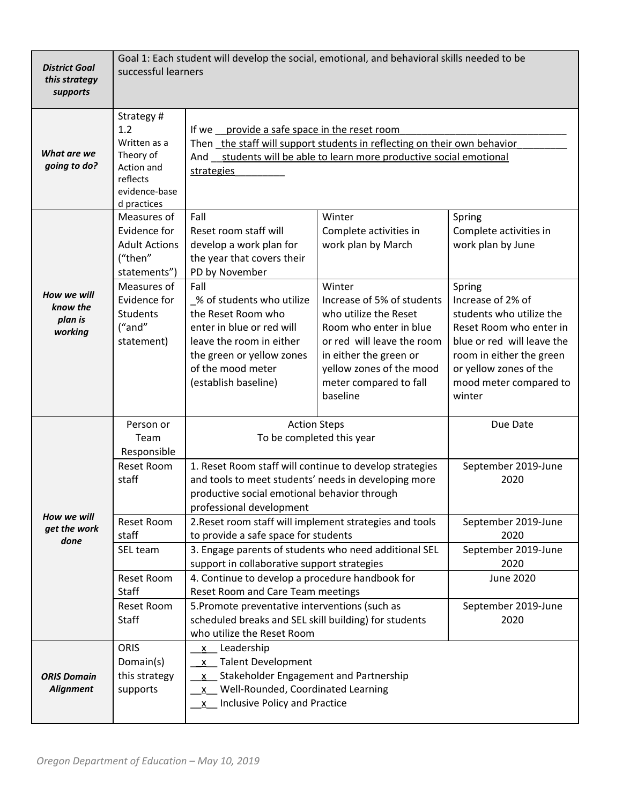| <b>District Goal</b><br>this strategy<br>supports | Goal 1: Each student will develop the social, emotional, and behavioral skills needed to be<br>successful learners                                       |                                                                                                                                                                                                                                                                                                                                                   |                                                                                                                                                                                                                                                                             |                                                                                                                                                                                                                                                                     |
|---------------------------------------------------|----------------------------------------------------------------------------------------------------------------------------------------------------------|---------------------------------------------------------------------------------------------------------------------------------------------------------------------------------------------------------------------------------------------------------------------------------------------------------------------------------------------------|-----------------------------------------------------------------------------------------------------------------------------------------------------------------------------------------------------------------------------------------------------------------------------|---------------------------------------------------------------------------------------------------------------------------------------------------------------------------------------------------------------------------------------------------------------------|
| What are we<br>going to do?                       | Strategy#<br>1.2<br>Written as a<br>Theory of<br>Action and<br>reflects<br>evidence-base<br>d practices                                                  | If we provide a safe space in the reset room<br>Then the staff will support students in reflecting on their own behavior<br>And students will be able to learn more productive social emotional<br>strategies                                                                                                                                     |                                                                                                                                                                                                                                                                             |                                                                                                                                                                                                                                                                     |
| How we will<br>know the<br>plan is<br>working     | Measures of<br>Evidence for<br><b>Adult Actions</b><br>("then"<br>statements")<br>Measures of<br>Evidence for<br><b>Students</b><br>("and"<br>statement) | Fall<br>Reset room staff will<br>develop a work plan for<br>the year that covers their<br>PD by November<br>Fall<br>_% of students who utilize<br>the Reset Room who<br>enter in blue or red will<br>leave the room in either<br>the green or yellow zones<br>of the mood meter<br>(establish baseline)                                           | Winter<br>Complete activities in<br>work plan by March<br>Winter<br>Increase of 5% of students<br>who utilize the Reset<br>Room who enter in blue<br>or red will leave the room<br>in either the green or<br>yellow zones of the mood<br>meter compared to fall<br>baseline | Spring<br>Complete activities in<br>work plan by June<br>Spring<br>Increase of 2% of<br>students who utilize the<br>Reset Room who enter in<br>blue or red will leave the<br>room in either the green<br>or yellow zones of the<br>mood meter compared to<br>winter |
| How we will<br>get the work<br>done               | Person or<br>Team<br>Responsible<br><b>Reset Room</b><br>staff                                                                                           | <b>Action Steps</b><br>To be completed this year<br>1. Reset Room staff will continue to develop strategies<br>and tools to meet students' needs in developing more<br>productive social emotional behavior through<br>professional development                                                                                                   |                                                                                                                                                                                                                                                                             | Due Date<br>September 2019-June<br>2020                                                                                                                                                                                                                             |
|                                                   | Reset Room<br>staff<br>SEL team<br><b>Reset Room</b><br>Staff<br><b>Reset Room</b>                                                                       | 2. Reset room staff will implement strategies and tools<br>to provide a safe space for students<br>3. Engage parents of students who need additional SEL<br>support in collaborative support strategies<br>4. Continue to develop a procedure handbook for<br>Reset Room and Care Team meetings<br>5. Promote preventative interventions (such as |                                                                                                                                                                                                                                                                             | September 2019-June<br>2020<br>September 2019-June<br>2020<br><b>June 2020</b><br>September 2019-June                                                                                                                                                               |
| <b>ORIS Domain</b><br><b>Alignment</b>            | <b>Staff</b><br><b>ORIS</b><br>Domain(s)<br>this strategy<br>supports                                                                                    | scheduled breaks and SEL skill building) for students<br>2020<br>who utilize the Reset Room<br>Leadership<br>$\mathsf{X}$<br>x Talent Development<br>Stakeholder Engagement and Partnership<br>$\mathsf{X}$<br>x Well-Rounded, Coordinated Learning<br>x Inclusive Policy and Practice                                                            |                                                                                                                                                                                                                                                                             |                                                                                                                                                                                                                                                                     |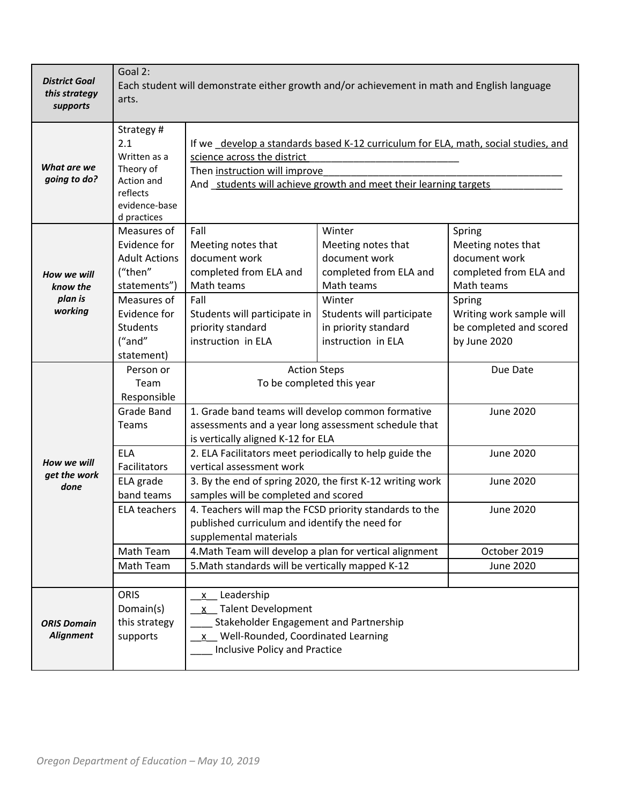| <b>District Goal</b><br>this strategy<br>supports | Goal 2:<br>Each student will demonstrate either growth and/or achievement in math and English language<br>arts.                                          |                                                                                                                                                                                                                         |                                                                                                                                                                            |                                                                                                                                                                        |
|---------------------------------------------------|----------------------------------------------------------------------------------------------------------------------------------------------------------|-------------------------------------------------------------------------------------------------------------------------------------------------------------------------------------------------------------------------|----------------------------------------------------------------------------------------------------------------------------------------------------------------------------|------------------------------------------------------------------------------------------------------------------------------------------------------------------------|
| What are we<br>going to do?                       | Strategy#<br>2.1<br>Written as a<br>Theory of<br>Action and<br>reflects<br>evidence-base<br>d practices                                                  | If we _develop a standards based K-12 curriculum for ELA, math, social studies, and<br>science across the district<br>Then instruction will improve<br>And students will achieve growth and meet their learning targets |                                                                                                                                                                            |                                                                                                                                                                        |
| How we will<br>know the<br>plan is<br>working     | Measures of<br>Evidence for<br><b>Adult Actions</b><br>("then"<br>statements")<br>Measures of<br>Evidence for<br><b>Students</b><br>("and"<br>statement) | Fall<br>Meeting notes that<br>document work<br>completed from ELA and<br>Math teams<br>Fall<br>Students will participate in<br>priority standard<br>instruction in ELA                                                  | Winter<br>Meeting notes that<br>document work<br>completed from ELA and<br>Math teams<br>Winter<br>Students will participate<br>in priority standard<br>instruction in ELA | Spring<br>Meeting notes that<br>document work<br>completed from ELA and<br>Math teams<br>Spring<br>Writing work sample will<br>be completed and scored<br>by June 2020 |
|                                                   | Person or<br>Team<br>Responsible                                                                                                                         | <b>Action Steps</b><br>To be completed this year                                                                                                                                                                        |                                                                                                                                                                            | Due Date                                                                                                                                                               |
|                                                   | <b>Grade Band</b><br><b>Teams</b>                                                                                                                        | 1. Grade band teams will develop common formative<br>assessments and a year long assessment schedule that<br>is vertically aligned K-12 for ELA                                                                         |                                                                                                                                                                            | <b>June 2020</b>                                                                                                                                                       |
| How we will<br>get the work                       | <b>ELA</b><br>Facilitators                                                                                                                               | 2. ELA Facilitators meet periodically to help guide the<br>vertical assessment work                                                                                                                                     |                                                                                                                                                                            | <b>June 2020</b>                                                                                                                                                       |
| done                                              | ELA grade<br>band teams                                                                                                                                  | 3. By the end of spring 2020, the first K-12 writing work<br>samples will be completed and scored                                                                                                                       |                                                                                                                                                                            | <b>June 2020</b>                                                                                                                                                       |
|                                                   | <b>ELA teachers</b>                                                                                                                                      | 4. Teachers will map the FCSD priority standards to the<br>published curriculum and identify the need for<br>supplemental materials                                                                                     |                                                                                                                                                                            | <b>June 2020</b>                                                                                                                                                       |
|                                                   | Math Team                                                                                                                                                | 4. Math Team will develop a plan for vertical alignment                                                                                                                                                                 |                                                                                                                                                                            | October 2019                                                                                                                                                           |
|                                                   | Math Team                                                                                                                                                | 5. Math standards will be vertically mapped K-12                                                                                                                                                                        |                                                                                                                                                                            | <b>June 2020</b>                                                                                                                                                       |
| <b>ORIS Domain</b><br><b>Alignment</b>            | <b>ORIS</b><br>Domain(s)<br>this strategy<br>supports                                                                                                    | Leadership<br>X.<br>x Talent Development<br>Stakeholder Engagement and Partnership<br>Well-Rounded, Coordinated Learning<br>X —<br><b>Inclusive Policy and Practice</b>                                                 |                                                                                                                                                                            |                                                                                                                                                                        |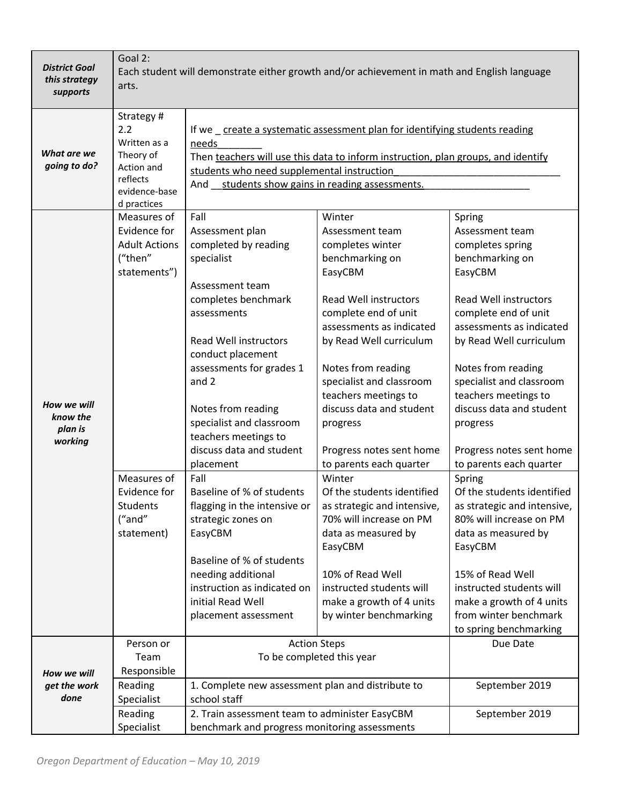| <b>District Goal</b><br>this strategy<br>supports | Goal 2:<br>Each student will demonstrate either growth and/or achievement in math and English language<br>arts.                                   |                                                                                                                                                                                                                                                                                                                                                                                                                                                                                                                                                                          |                                                                                                                                                                                                                                                                                                                                                                                                                                                                                                                                                                                                               |                                                                                                                                                                                                                                                                                                                                                                                                                                                                                                                                                                                                                                        |
|---------------------------------------------------|---------------------------------------------------------------------------------------------------------------------------------------------------|--------------------------------------------------------------------------------------------------------------------------------------------------------------------------------------------------------------------------------------------------------------------------------------------------------------------------------------------------------------------------------------------------------------------------------------------------------------------------------------------------------------------------------------------------------------------------|---------------------------------------------------------------------------------------------------------------------------------------------------------------------------------------------------------------------------------------------------------------------------------------------------------------------------------------------------------------------------------------------------------------------------------------------------------------------------------------------------------------------------------------------------------------------------------------------------------------|----------------------------------------------------------------------------------------------------------------------------------------------------------------------------------------------------------------------------------------------------------------------------------------------------------------------------------------------------------------------------------------------------------------------------------------------------------------------------------------------------------------------------------------------------------------------------------------------------------------------------------------|
| What are we<br>going to do?                       | Strategy#<br>2.2<br>Written as a<br>Theory of<br>Action and<br>reflects<br>evidence-base<br>d practices                                           | If we _create a systematic assessment plan for identifying students reading<br>needs<br>Then teachers will use this data to inform instruction, plan groups, and identify<br>students who need supplemental instruction<br>And students show gains in reading assessments.                                                                                                                                                                                                                                                                                               |                                                                                                                                                                                                                                                                                                                                                                                                                                                                                                                                                                                                               |                                                                                                                                                                                                                                                                                                                                                                                                                                                                                                                                                                                                                                        |
| How we will<br>know the<br>plan is<br>working     | Measures of<br>Evidence for<br><b>Adult Actions</b><br>("then"<br>statements")<br>Measures of<br>Evidence for<br>Students<br>("and"<br>statement) | Fall<br>Assessment plan<br>completed by reading<br>specialist<br>Assessment team<br>completes benchmark<br>assessments<br><b>Read Well instructors</b><br>conduct placement<br>assessments for grades 1<br>and 2<br>Notes from reading<br>specialist and classroom<br>teachers meetings to<br>discuss data and student<br>placement<br>Fall<br>Baseline of % of students<br>flagging in the intensive or<br>strategic zones on<br>EasyCBM<br>Baseline of % of students<br>needing additional<br>instruction as indicated on<br>initial Read Well<br>placement assessment | Winter<br>Assessment team<br>completes winter<br>benchmarking on<br>EasyCBM<br><b>Read Well instructors</b><br>complete end of unit<br>assessments as indicated<br>by Read Well curriculum<br>Notes from reading<br>specialist and classroom<br>teachers meetings to<br>discuss data and student<br>progress<br>Progress notes sent home<br>to parents each quarter<br>Winter<br>Of the students identified<br>as strategic and intensive,<br>70% will increase on PM<br>data as measured by<br>EasyCBM<br>10% of Read Well<br>instructed students will<br>make a growth of 4 units<br>by winter benchmarking | Spring<br>Assessment team<br>completes spring<br>benchmarking on<br>EasyCBM<br><b>Read Well instructors</b><br>complete end of unit<br>assessments as indicated<br>by Read Well curriculum<br>Notes from reading<br>specialist and classroom<br>teachers meetings to<br>discuss data and student<br>progress<br>Progress notes sent home<br>to parents each quarter<br>Spring<br>Of the students identified<br>as strategic and intensive,<br>80% will increase on PM<br>data as measured by<br>EasyCBM<br>15% of Read Well<br>instructed students will<br>make a growth of 4 units<br>from winter benchmark<br>to spring benchmarking |
| How we will<br>get the work<br>done               | Person or<br>Team<br>Responsible<br>Reading<br>Specialist<br>Reading                                                                              | <b>Action Steps</b><br>To be completed this year<br>1. Complete new assessment plan and distribute to<br>school staff                                                                                                                                                                                                                                                                                                                                                                                                                                                    |                                                                                                                                                                                                                                                                                                                                                                                                                                                                                                                                                                                                               | Due Date<br>September 2019<br>September 2019                                                                                                                                                                                                                                                                                                                                                                                                                                                                                                                                                                                           |
|                                                   | Specialist                                                                                                                                        | 2. Train assessment team to administer EasyCBM<br>benchmark and progress monitoring assessments                                                                                                                                                                                                                                                                                                                                                                                                                                                                          |                                                                                                                                                                                                                                                                                                                                                                                                                                                                                                                                                                                                               |                                                                                                                                                                                                                                                                                                                                                                                                                                                                                                                                                                                                                                        |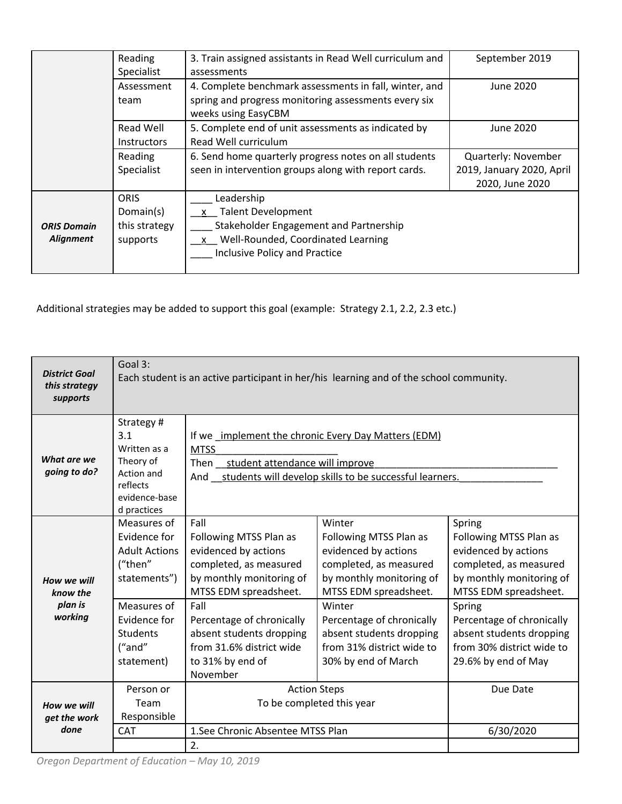|                    | Reading<br>Specialist                                            | 3. Train assigned assistants in Read Well curriculum and<br>assessments | September 2019            |
|--------------------|------------------------------------------------------------------|-------------------------------------------------------------------------|---------------------------|
| Assessment         |                                                                  | 4. Complete benchmark assessments in fall, winter, and                  | June 2020                 |
|                    | team                                                             | spring and progress monitoring assessments every six                    |                           |
|                    |                                                                  | weeks using EasyCBM                                                     |                           |
|                    | Read Well                                                        | 5. Complete end of unit assessments as indicated by                     | June 2020                 |
|                    | <b>Instructors</b>                                               | Read Well curriculum                                                    |                           |
|                    | 6. Send home quarterly progress notes on all students<br>Reading |                                                                         | Quarterly: November       |
|                    | Specialist                                                       | seen in intervention groups along with report cards.                    | 2019, January 2020, April |
|                    |                                                                  |                                                                         | 2020, June 2020           |
|                    | <b>ORIS</b>                                                      | Leadership                                                              |                           |
|                    | Domain(s)                                                        | x Talent Development                                                    |                           |
| <b>ORIS Domain</b> | this strategy                                                    | Stakeholder Engagement and Partnership                                  |                           |
| Alignment          | supports                                                         | Well-Rounded, Coordinated Learning<br>$\mathsf{x}$                      |                           |
|                    |                                                                  | Inclusive Policy and Practice                                           |                           |
|                    |                                                                  |                                                                         |                           |

Additional strategies may be added to support this goal (example: Strategy 2.1, 2.2, 2.3 etc.)

| <b>District Goal</b><br>this strategy<br>supports | Goal 3:<br>Each student is an active participant in her/his learning and of the school community.       |                                                                                                                                                                                |                                                                                                                                         |                                                                                                                                         |
|---------------------------------------------------|---------------------------------------------------------------------------------------------------------|--------------------------------------------------------------------------------------------------------------------------------------------------------------------------------|-----------------------------------------------------------------------------------------------------------------------------------------|-----------------------------------------------------------------------------------------------------------------------------------------|
| What are we<br>going to do?                       | Strategy#<br>3.1<br>Written as a<br>Theory of<br>Action and<br>reflects<br>evidence-base<br>d practices | If we implement the chronic Every Day Matters (EDM)<br><b>MTSS</b><br>student attendance will improve<br>Then<br>And __students will develop skills to be successful learners. |                                                                                                                                         |                                                                                                                                         |
| How we will<br>know the<br>plan is<br>working     | Measures of<br>Evidence for<br><b>Adult Actions</b><br>("then"<br>statements")                          | Fall<br>Following MTSS Plan as<br>evidenced by actions<br>completed, as measured<br>by monthly monitoring of<br>MTSS EDM spreadsheet.                                          | Winter<br>Following MTSS Plan as<br>evidenced by actions<br>completed, as measured<br>by monthly monitoring of<br>MTSS EDM spreadsheet. | Spring<br>Following MTSS Plan as<br>evidenced by actions<br>completed, as measured<br>by monthly monitoring of<br>MTSS EDM spreadsheet. |
|                                                   | Measures of<br>Fvidence for<br><b>Students</b><br>("and"<br>statement)                                  | Fall<br>Percentage of chronically<br>absent students dropping<br>from 31.6% district wide<br>to 31% by end of<br>November                                                      | Winter<br>Percentage of chronically<br>absent students dropping<br>from 31% district wide to<br>30% by end of March                     | Spring<br>Percentage of chronically<br>absent students dropping<br>from 30% district wide to<br>29.6% by end of May                     |
| How we will<br>get the work                       | Person or<br>Team<br>Responsible                                                                        | <b>Action Steps</b><br>To be completed this year                                                                                                                               |                                                                                                                                         | Due Date                                                                                                                                |
| done                                              | <b>CAT</b>                                                                                              | 1. See Chronic Absentee MTSS Plan<br>2.                                                                                                                                        |                                                                                                                                         | 6/30/2020                                                                                                                               |

*Oregon Department of Education – May 10, 2019*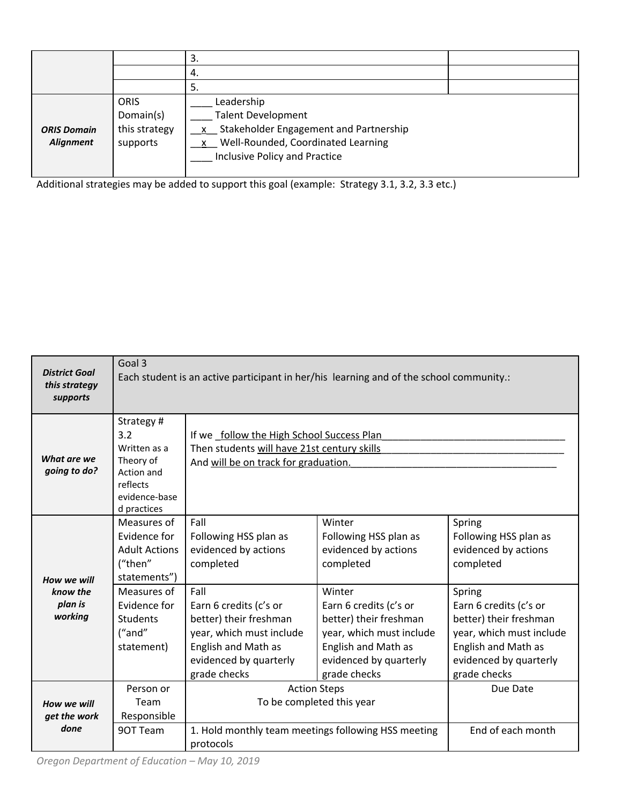|                    |               | 3.<br>4.                                 |  |
|--------------------|---------------|------------------------------------------|--|
|                    |               | -5.                                      |  |
|                    | <b>ORIS</b>   | Leadership                               |  |
|                    | Domain(s)     | <b>Talent Development</b>                |  |
| <b>ORIS Domain</b> | this strategy | x Stakeholder Engagement and Partnership |  |
| Alignment          | supports      | x Well-Rounded, Coordinated Learning     |  |
|                    |               | Inclusive Policy and Practice            |  |
|                    |               |                                          |  |

Additional strategies may be added to support this goal (example: Strategy 3.1, 3.2, 3.3 etc.)

| <b>District Goal</b><br>this strategy<br>supports | Goal 3<br>Each student is an active participant in her/his learning and of the school community.:       |                                                                                                                                                              |                                                                                                                                                                |                                                                                                                                                                |
|---------------------------------------------------|---------------------------------------------------------------------------------------------------------|--------------------------------------------------------------------------------------------------------------------------------------------------------------|----------------------------------------------------------------------------------------------------------------------------------------------------------------|----------------------------------------------------------------------------------------------------------------------------------------------------------------|
|                                                   |                                                                                                         |                                                                                                                                                              |                                                                                                                                                                |                                                                                                                                                                |
| What are we<br>going to do?                       | Strategy#<br>3.2<br>Written as a<br>Theory of<br>Action and<br>reflects<br>evidence-base<br>d practices | If we follow the High School Success Plan<br>Then students will have 21st century skills<br>And will be on track for graduation.                             |                                                                                                                                                                |                                                                                                                                                                |
| How we will                                       | Measures of<br>Evidence for<br><b>Adult Actions</b><br>("then"<br>statements")                          | Fall<br>Following HSS plan as<br>evidenced by actions<br>completed                                                                                           | Winter<br>Following HSS plan as<br>evidenced by actions<br>completed                                                                                           | Spring<br>Following HSS plan as<br>evidenced by actions<br>completed                                                                                           |
| know the<br>plan is<br>working                    | Measures of<br>Evidence for<br><b>Students</b><br>("and"<br>statement)                                  | Fall<br>Earn 6 credits (c's or<br>better) their freshman<br>year, which must include<br><b>English and Math as</b><br>evidenced by quarterly<br>grade checks | Winter<br>Earn 6 credits (c's or<br>better) their freshman<br>year, which must include<br><b>English and Math as</b><br>evidenced by quarterly<br>grade checks | Spring<br>Earn 6 credits (c's or<br>better) their freshman<br>year, which must include<br><b>English and Math as</b><br>evidenced by quarterly<br>grade checks |
| How we will<br>get the work                       | Person or<br>Team<br>Responsible                                                                        |                                                                                                                                                              | <b>Action Steps</b><br>To be completed this year                                                                                                               |                                                                                                                                                                |
| done                                              | 90T Team                                                                                                | 1. Hold monthly team meetings following HSS meeting<br>protocols                                                                                             |                                                                                                                                                                | End of each month                                                                                                                                              |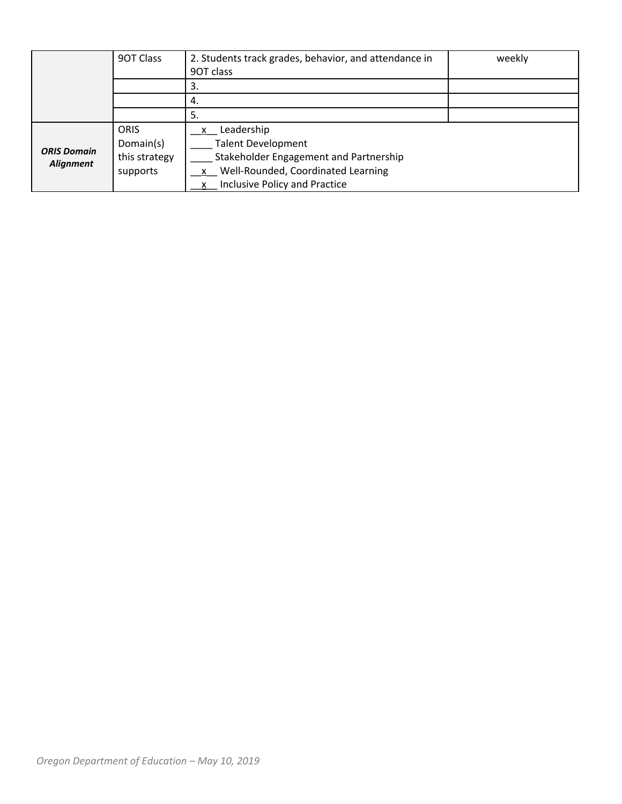|                                        | 90T Class     | 2. Students track grades, behavior, and attendance in | weekly |
|----------------------------------------|---------------|-------------------------------------------------------|--------|
|                                        |               | 90T class                                             |        |
|                                        |               | 3.                                                    |        |
|                                        |               | 4.                                                    |        |
|                                        |               | 5.                                                    |        |
| <b>ORIS Domain</b><br><b>Alignment</b> | <b>ORIS</b>   | Leadership                                            |        |
|                                        | Domain(s)     | <b>Talent Development</b>                             |        |
|                                        | this strategy | Stakeholder Engagement and Partnership                |        |
|                                        | supports      | x Well-Rounded, Coordinated Learning                  |        |
|                                        |               | x Inclusive Policy and Practice                       |        |